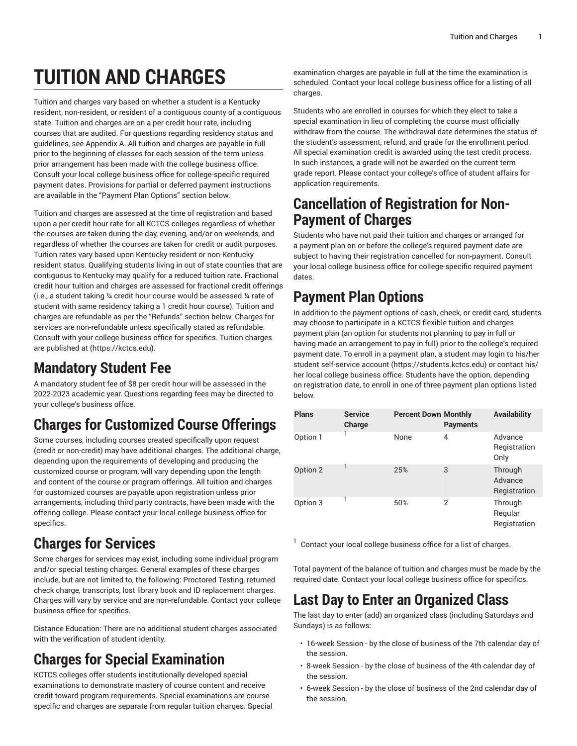# **TUITION AND CHARGES**

Tuition and charges vary based on whether a student is a Kentucky resident, non-resident, or resident of a contiguous county of a contiguous state. Tuition and charges are on a per credit hour rate, including courses that are audited. For questions regarding residency status and guidelines, see Appendix A. All tuition and charges are payable in full prior to the beginning of classes for each session of the term unless prior arrangement has been made with the college business office. Consult your local college business office for college-specific required payment dates. Provisions for partial or deferred payment instructions are available in the "Payment Plan Options" section below.

Tuition and charges are assessed at the time of registration and based upon a per credit hour rate for all KCTCS colleges regardless of whether the courses are taken during the day, evening, and/or on weekends, and regardless of whether the courses are taken for credit or audit purposes. Tuition rates vary based upon Kentucky resident or non-Kentucky resident status. Qualifying students living in out of state counties that are contiguous to Kentucky may qualify for a reduced tuition rate. Fractional credit hour tuition and charges are assessed for fractional credit offerings (i.e., a student taking ¼ credit hour course would be assessed ¼ rate of student with same residency taking a 1 credit hour course). Tuition and charges are refundable as per the "Refunds" section below. Charges for services are non-refundable unless specifically stated as refundable. Consult with your college business office for specifics. Tuition charges are published at [\(https://kctcs.edu](https://kctcs.edu)).

#### **Mandatory Student Fee**

A mandatory student fee of \$8 per credit hour will be assessed in the 2022-2023 academic year. Questions regarding fees may be directed to your college's business office.

# **Charges for Customized Course Offerings**

Some courses, including courses created specifically upon request (credit or non-credit) may have additional charges. The additional charge, depending upon the requirements of developing and producing the customized course or program, will vary depending upon the length and content of the course or program offerings. All tuition and charges for customized courses are payable upon registration unless prior arrangements, including third party contracts, have been made with the offering college. Please contact your local college business office for specifics.

# **Charges for Services**

Some charges for services may exist, including some individual program and/or special testing charges. General examples of these charges include, but are not limited to, the following: Proctored Testing, returned check charge, transcripts, lost library book and ID replacement charges. Charges will vary by service and are non-refundable. Contact your college business office for specifics.

Distance Education: There are no additional student charges associated with the verification of student identity.

# **Charges for Special Examination**

KCTCS colleges offer students institutionally developed special examinations to demonstrate mastery of course content and receive credit toward program requirements. Special examinations are course specific and charges are separate from regular tuition charges. Special

examination charges are payable in full at the time the examination is scheduled. Contact your local college business office for a listing of all charges.

Students who are enrolled in courses for which they elect to take a special examination in lieu of completing the course must officially withdraw from the course. The withdrawal date determines the status of the student's assessment, refund, and grade for the enrollment period. All special examination credit is awarded using the test credit process. In such instances, a grade will not be awarded on the current term grade report. Please contact your college's office of student affairs for application requirements.

#### **Cancellation of Registration for Non-Payment of Charges**

Students who have not paid their tuition and charges or arranged for a payment plan on or before the college's required payment date are subject to having their registration cancelled for non-payment. Consult your local college business office for college-specific required payment dates.

#### **Payment Plan Options**

In addition to the payment options of cash, check, or credit card, students may choose to participate in a KCTCS flexible tuition and charges payment plan (an option for students not planning to pay in full or having made an arrangement to pay in full) prior to the college's required payment date. To enroll in a payment plan, a student may login to his/her student self-service account (<https://students.kctcs.edu>) or contact his/ her local college business office. Students have the option, depending on registration date, to enroll in one of three payment plan options listed below.

| <b>Plans</b> | <b>Service</b><br>Charge | <b>Percent Down Monthly</b> | <b>Payments</b> | <b>Availability</b>                |
|--------------|--------------------------|-----------------------------|-----------------|------------------------------------|
| Option 1     |                          | None                        | 4               | Advance<br>Registration<br>Only    |
| Option 2     |                          | 25%                         | 3               | Through<br>Advance<br>Registration |
| Option 3     |                          | 50%                         | 2               | Through<br>Regular<br>Registration |

 $1$  Contact your local college business office for a list of charges.

Total payment of the balance of tuition and charges must be made by the required date. Contact your local college business office for specifics.

#### **Last Day to Enter an Organized Class**

The last day to enter (add) an organized class (including Saturdays and Sundays) is as follows:

- 16-week Session by the close of business of the 7th calendar day of the session.
- 8-week Session by the close of business of the 4th calendar day of the session.
- 6-week Session by the close of business of the 2nd calendar day of the session.